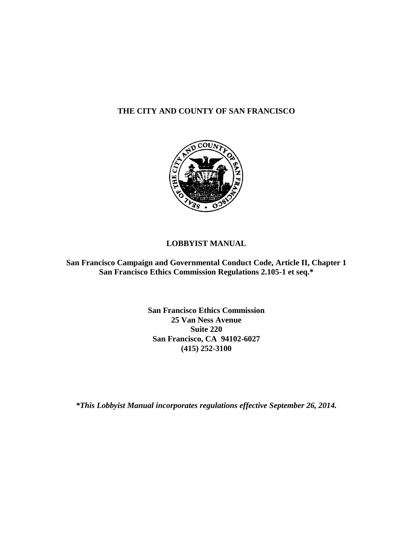### **THE CITY AND COUNTY OF SAN FRANCISCO**



### **LOBBYIST MANUAL**

**San Francisco Campaign and Governmental Conduct Code, Article II, Chapter 1 San Francisco Ethics Commission Regulations 2.105-1 et seq.\***

> **San Francisco Ethics Commission 25 Van Ness Avenue Suite 220 San Francisco, CA 94102-6027 (415) 252-3100**

*\*This Lobbyist Manual incorporates regulations effective September 26, 2014.*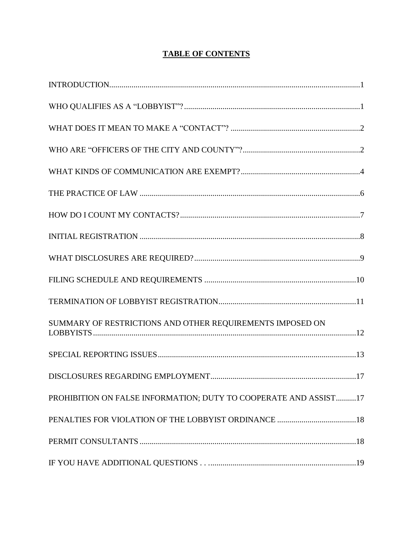### **TABLE OF CONTENTS**

| SUMMARY OF RESTRICTIONS AND OTHER REQUIREMENTS IMPOSED ON        |
|------------------------------------------------------------------|
|                                                                  |
|                                                                  |
| PROHIBITION ON FALSE INFORMATION; DUTY TO COOPERATE AND ASSIST17 |
|                                                                  |
|                                                                  |
|                                                                  |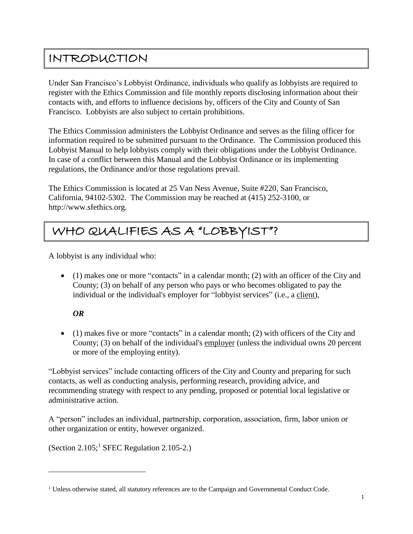### <span id="page-2-0"></span>INTRODUCTION

Under San Francisco's Lobbyist Ordinance, individuals who qualify as lobbyists are required to register with the Ethics Commission and file monthly reports disclosing information about their contacts with, and efforts to influence decisions by, officers of the City and County of San Francisco. Lobbyists are also subject to certain prohibitions.

The Ethics Commission administers the Lobbyist Ordinance and serves as the filing officer for information required to be submitted pursuant to the Ordinance. The Commission produced this Lobbyist Manual to help lobbyists comply with their obligations under the Lobbyist Ordinance. In case of a conflict between this Manual and the Lobbyist Ordinance or its implementing regulations, the Ordinance and/or those regulations prevail.

The Ethics Commission is located at 25 Van Ness Avenue, Suite #220, San Francisco, California, 94102-5302. The Commission may be reached at (415) 252-3100, or http://www.sfethics.org.

# <span id="page-2-1"></span>WHO QUALIFIES AS A "LOBBYIST"?

A lobbyist is any individual who:

 (1) makes one or more "contacts" in a calendar month; (2) with an officer of the City and County; (3) on behalf of any person who pays or who becomes obligated to pay the individual or the individual's employer for "lobbyist services" (i.e., a client),

### *OR*

 $\overline{a}$ 

 (1) makes five or more "contacts" in a calendar month; (2) with officers of the City and County; (3) on behalf of the individual's employer (unless the individual owns 20 percent or more of the employing entity).

"Lobbyist services" include contacting officers of the City and County and preparing for such contacts, as well as conducting analysis, performing research, providing advice, and recommending strategy with respect to any pending, proposed or potential local legislative or administrative action.

A "person" includes an individual, partnership, corporation, association, firm, labor union or other organization or entity, however organized.

(Section 2.105; <sup>1</sup> SFEC Regulation 2.105-2.)

<sup>&</sup>lt;sup>1</sup> Unless otherwise stated, all statutory references are to the Campaign and Governmental Conduct Code.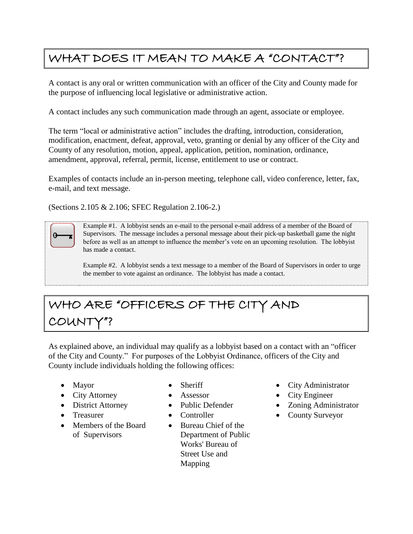## <span id="page-3-0"></span>WHAT DOES IT MEAN TO MAKE A "CONTACT"?

A contact is any oral or written communication with an officer of the City and County made for the purpose of influencing local legislative or administrative action.

A contact includes any such communication made through an agent, associate or employee.

The term "local or administrative action" includes the drafting, introduction, consideration, modification, enactment, defeat, approval, veto, granting or denial by any officer of the City and County of any resolution, motion, appeal, application, petition, nomination, ordinance, amendment, approval, referral, permit, license, entitlement to use or contract.

Examples of contacts include an in-person meeting, telephone call, video conference, letter, fax, e-mail, and text message.

(Sections 2.105 & 2.106; SFEC Regulation 2.106-2.)



Example #1. A lobbyist sends an e-mail to the personal e-mail address of a member of the Board of Supervisors. The message includes a personal message about their pick-up basketball game the night before as well as an attempt to influence the member's vote on an upcoming resolution. The lobbyist has made a contact.

Example #2. A lobbyist sends a text message to a member of the Board of Supervisors in order to urge the member to vote against an ordinance. The lobbyist has made a contact.

# <span id="page-3-1"></span>WHO ARE "OFFICERS OF THE CITY AND COUNT

As explained above, an individual may qualify as a lobbyist based on a contact with an "officer of the City and County." For purposes of the Lobbyist Ordinance, officers of the City and County include individuals holding the following offices:

- 
- City Attorney Assessor City Engineer
- 
- 
- Members of the Board of Supervisors
- 
- 
- 
- 
- Bureau Chief of the Department of Public Works' Bureau of Street Use and Mapping
- Mayor Sheriff City Administrator
	-
- District Attorney Public Defender Zoning Administrator
- Treasurer Controller County Surveyor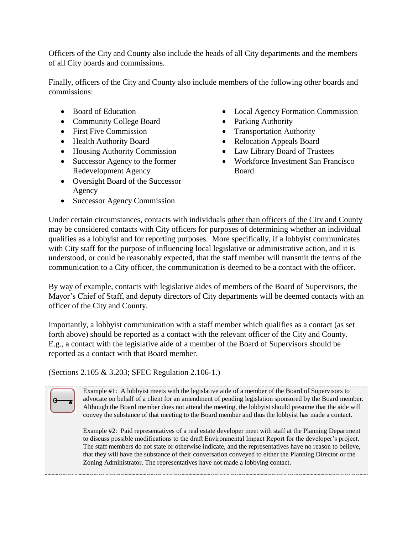Officers of the City and County also include the heads of all City departments and the members of all City boards and commissions.

Finally, officers of the City and County also include members of the following other boards and commissions:

- 
- Community College Board Parking Authority
- 
- 
- Housing Authority Commission Law Library Board of Trustees
- Successor Agency to the former Redevelopment Agency
- Oversight Board of the Successor Agency
- Successor Agency Commission
- Board of Education Local Agency Formation Commission
	-
- First Five Commission Transportation Authority
- Health Authority Board Relocation Appeals Board
	-
	- Workforce Investment San Francisco Board

Under certain circumstances, contacts with individuals other than officers of the City and County may be considered contacts with City officers for purposes of determining whether an individual qualifies as a lobbyist and for reporting purposes. More specifically, if a lobbyist communicates with City staff for the purpose of influencing local legislative or administrative action, and it is understood, or could be reasonably expected, that the staff member will transmit the terms of the communication to a City officer, the communication is deemed to be a contact with the officer.

By way of example, contacts with legislative aides of members of the Board of Supervisors, the Mayor's Chief of Staff, and deputy directors of City departments will be deemed contacts with an officer of the City and County.

Importantly, a lobbyist communication with a staff member which qualifies as a contact (as set forth above) should be reported as a contact with the relevant officer of the City and County. E.g., a contact with the legislative aide of a member of the Board of Supervisors should be reported as a contact with that Board member.

(Sections 2.105 & 3.203; SFEC Regulation 2.106-1.)

Example #1: A lobbyist meets with the legislative aide of a member of the Board of Supervisors to advocate on behalf of a client for an amendment of pending legislation sponsored by the Board member. Although the Board member does not attend the meeting, the lobbyist should presume that the aide will convey the substance of that meeting to the Board member and thus the lobbyist has made a contact.

Example #2: Paid representatives of a real estate developer meet with staff at the Planning Department to discuss possible modifications to the draft Environmental Impact Report for the developer's project. The staff members do not state or otherwise indicate, and the representatives have no reason to believe, that they will have the substance of their conversation conveyed to either the Planning Director or the Zoning Administrator. The representatives have not made a lobbying contact.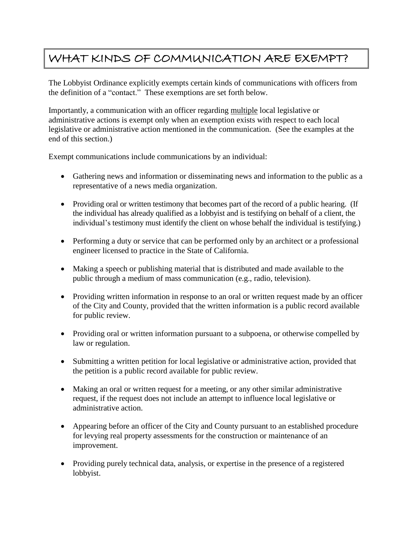### <span id="page-5-0"></span>WHAT KINDS OF COMMUNICATION ARE EXEMPT?

The Lobbyist Ordinance explicitly exempts certain kinds of communications with officers from the definition of a "contact." These exemptions are set forth below.

Importantly, a communication with an officer regarding multiple local legislative or administrative actions is exempt only when an exemption exists with respect to each local legislative or administrative action mentioned in the communication. (See the examples at the end of this section.)

Exempt communications include communications by an individual:

- Gathering news and information or disseminating news and information to the public as a representative of a news media organization.
- Providing oral or written testimony that becomes part of the record of a public hearing. (If the individual has already qualified as a lobbyist and is testifying on behalf of a client, the individual's testimony must identify the client on whose behalf the individual is testifying.)
- Performing a duty or service that can be performed only by an architect or a professional engineer licensed to practice in the State of California.
- Making a speech or publishing material that is distributed and made available to the public through a medium of mass communication (e.g., radio, television).
- Providing written information in response to an oral or written request made by an officer of the City and County, provided that the written information is a public record available for public review.
- Providing oral or written information pursuant to a subpoena, or otherwise compelled by law or regulation.
- Submitting a written petition for local legislative or administrative action, provided that the petition is a public record available for public review.
- Making an oral or written request for a meeting, or any other similar administrative request, if the request does not include an attempt to influence local legislative or administrative action.
- Appearing before an officer of the City and County pursuant to an established procedure for levying real property assessments for the construction or maintenance of an improvement.
- Providing purely technical data, analysis, or expertise in the presence of a registered lobbyist.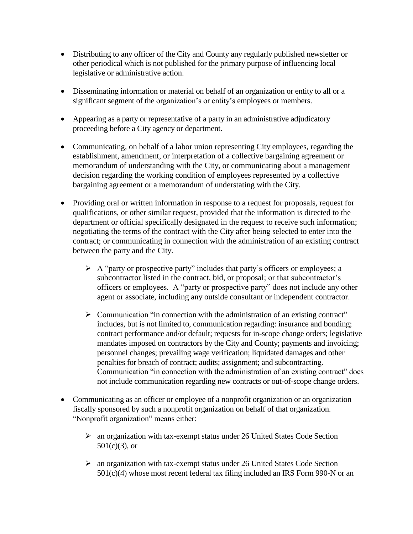- Distributing to any officer of the City and County any regularly published newsletter or other periodical which is not published for the primary purpose of influencing local legislative or administrative action.
- Disseminating information or material on behalf of an organization or entity to all or a significant segment of the organization's or entity's employees or members.
- Appearing as a party or representative of a party in an administrative adjudicatory proceeding before a City agency or department.
- Communicating, on behalf of a labor union representing City employees, regarding the establishment, amendment, or interpretation of a collective bargaining agreement or memorandum of understanding with the City, or communicating about a management decision regarding the working condition of employees represented by a collective bargaining agreement or a memorandum of understating with the City.
- Providing oral or written information in response to a request for proposals, request for qualifications, or other similar request, provided that the information is directed to the department or official specifically designated in the request to receive such information; negotiating the terms of the contract with the City after being selected to enter into the contract; or communicating in connection with the administration of an existing contract between the party and the City.
	- $\triangleright$  A "party or prospective party" includes that party's officers or employees; a subcontractor listed in the contract, bid, or proposal; or that subcontractor's officers or employees. A "party or prospective party" does not include any other agent or associate, including any outside consultant or independent contractor.
	- $\triangleright$  Communication "in connection with the administration of an existing contract" includes, but is not limited to, communication regarding: insurance and bonding; contract performance and/or default; requests for in-scope change orders; legislative mandates imposed on contractors by the City and County; payments and invoicing; personnel changes; prevailing wage verification; liquidated damages and other penalties for breach of contract; audits; assignment; and subcontracting. Communication "in connection with the administration of an existing contract" does not include communication regarding new contracts or out-of-scope change orders.
- Communicating as an officer or employee of a nonprofit organization or an organization fiscally sponsored by such a nonprofit organization on behalf of that organization. "Nonprofit organization" means either:
	- an organization with tax-exempt status under 26 United States Code Section  $501(c)(3)$ , or
	- an organization with tax-exempt status under 26 United States Code Section 501(c)(4) whose most recent federal tax filing included an IRS Form 990-N or an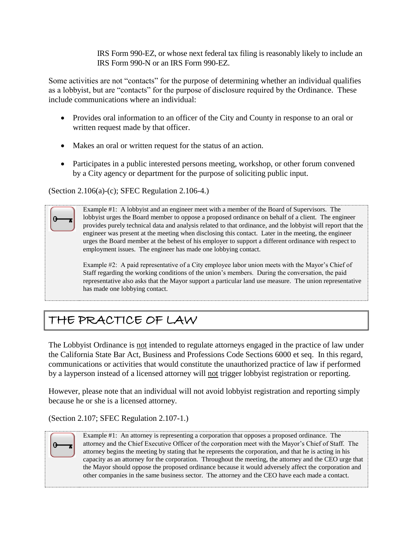IRS Form 990-EZ, or whose next federal tax filing is reasonably likely to include an IRS Form 990-N or an IRS Form 990-EZ.

Some activities are not "contacts" for the purpose of determining whether an individual qualifies as a lobbyist, but are "contacts" for the purpose of disclosure required by the Ordinance. These include communications where an individual:

- Provides oral information to an officer of the City and County in response to an oral or written request made by that officer.
- Makes an oral or written request for the status of an action.
- Participates in a public interested persons meeting, workshop, or other forum convened by a City agency or department for the purpose of soliciting public input.

(Section 2.106(a)-(c); SFEC Regulation 2.106-4.)

Example #1: A lobbyist and an engineer meet with a member of the Board of Supervisors. The lobbyist urges the Board member to oppose a proposed ordinance on behalf of a client. The engineer provides purely technical data and analysis related to that ordinance, and the lobbyist will report that the engineer was present at the meeting when disclosing this contact. Later in the meeting, the engineer urges the Board member at the behest of his employer to support a different ordinance with respect to employment issues. The engineer has made one lobbying contact.

Example #2: A paid representative of a City employee labor union meets with the Mayor's Chief of Staff regarding the working conditions of the union's members. During the conversation, the paid representative also asks that the Mayor support a particular land use measure. The union representative has made one lobbying contact.

# <span id="page-7-0"></span>THE PRACTICE OF LAW

The Lobbyist Ordinance is not intended to regulate attorneys engaged in the practice of law under the California State Bar Act, Business and Professions Code Sections 6000 et seq. In this regard, communications or activities that would constitute the unauthorized practice of law if performed by a layperson instead of a licensed attorney will not trigger lobbyist registration or reporting.

However, please note that an individual will not avoid lobbyist registration and reporting simply because he or she is a licensed attorney.

(Section 2.107; SFEC Regulation 2.107-1.)



Example #1: An attorney is representing a corporation that opposes a proposed ordinance. The attorney and the Chief Executive Officer of the corporation meet with the Mayor's Chief of Staff. The attorney begins the meeting by stating that he represents the corporation, and that he is acting in his capacity as an attorney for the corporation. Throughout the meeting, the attorney and the CEO urge that the Mayor should oppose the proposed ordinance because it would adversely affect the corporation and other companies in the same business sector. The attorney and the CEO have each made a contact.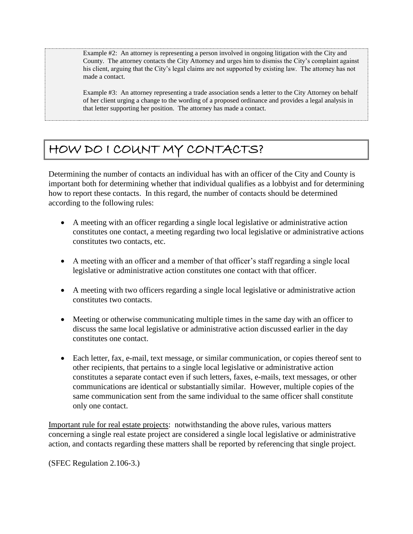Example #2: An attorney is representing a person involved in ongoing litigation with the City and County. The attorney contacts the City Attorney and urges him to dismiss the City's complaint against his client, arguing that the City's legal claims are not supported by existing law. The attorney has not made a contact.

Example #3: An attorney representing a trade association sends a letter to the City Attorney on behalf of her client urging a change to the wording of a proposed ordinance and provides a legal analysis in that letter supporting her position. The attorney has made a contact.

## <span id="page-8-0"></span>HOW DO I COUNT MY CONTACTS?

Determining the number of contacts an individual has with an officer of the City and County is important both for determining whether that individual qualifies as a lobbyist and for determining how to report these contacts. In this regard, the number of contacts should be determined according to the following rules:

- A meeting with an officer regarding a single local legislative or administrative action constitutes one contact, a meeting regarding two local legislative or administrative actions constitutes two contacts, etc.
- A meeting with an officer and a member of that officer's staff regarding a single local legislative or administrative action constitutes one contact with that officer.
- A meeting with two officers regarding a single local legislative or administrative action constitutes two contacts.
- Meeting or otherwise communicating multiple times in the same day with an officer to discuss the same local legislative or administrative action discussed earlier in the day constitutes one contact.
- Each letter, fax, e-mail, text message, or similar communication, or copies thereof sent to other recipients, that pertains to a single local legislative or administrative action constitutes a separate contact even if such letters, faxes, e-mails, text messages, or other communications are identical or substantially similar. However, multiple copies of the same communication sent from the same individual to the same officer shall constitute only one contact.

Important rule for real estate projects: notwithstanding the above rules, various matters concerning a single real estate project are considered a single local legislative or administrative action, and contacts regarding these matters shall be reported by referencing that single project.

(SFEC Regulation 2.106-3.)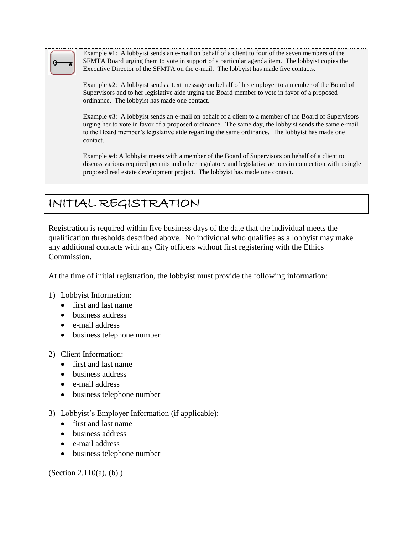

Example #1: A lobbyist sends an e-mail on behalf of a client to four of the seven members of the SFMTA Board urging them to vote in support of a particular agenda item. The lobbyist copies the Executive Director of the SFMTA on the e-mail. The lobbyist has made five contacts.

Example #2: A lobbyist sends a text message on behalf of his employer to a member of the Board of Supervisors and to her legislative aide urging the Board member to vote in favor of a proposed ordinance. The lobbyist has made one contact.

Example #3: A lobbyist sends an e-mail on behalf of a client to a member of the Board of Supervisors urging her to vote in favor of a proposed ordinance. The same day, the lobbyist sends the same e-mail to the Board member's legislative aide regarding the same ordinance. The lobbyist has made one contact.

Example #4: A lobbyist meets with a member of the Board of Supervisors on behalf of a client to discuss various required permits and other regulatory and legislative actions in connection with a single proposed real estate development project. The lobbyist has made one contact.

# <span id="page-9-0"></span>INITIAL REGISTRATION

Registration is required within five business days of the date that the individual meets the qualification thresholds described above. No individual who qualifies as a lobbyist may make any additional contacts with any City officers without first registering with the Ethics Commission.

At the time of initial registration, the lobbyist must provide the following information:

### 1) Lobbyist Information:

- first and last name
- business address
- e-mail address
- business telephone number

### 2) Client Information:

- first and last name
- business address
- e-mail address
- business telephone number
- 3) Lobbyist's Employer Information (if applicable):
	- first and last name
	- business address
	- e-mail address
	- business telephone number

(Section 2.110(a), (b).)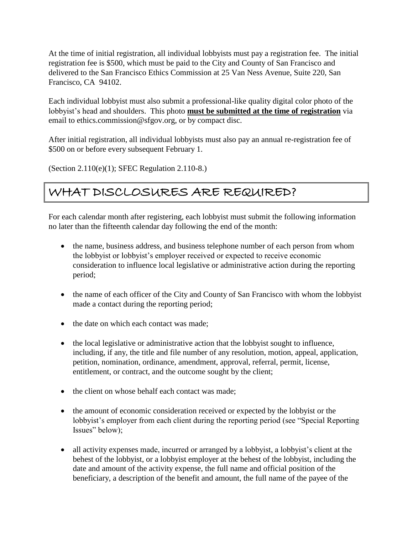At the time of initial registration, all individual lobbyists must pay a registration fee. The initial registration fee is \$500, which must be paid to the City and County of San Francisco and delivered to the San Francisco Ethics Commission at 25 Van Ness Avenue, Suite 220, San Francisco, CA 94102.

Each individual lobbyist must also submit a professional-like quality digital color photo of the lobbyist's head and shoulders. This photo **must be submitted at the time of registration** via email to ethics.commission@sfgov.org, or by compact disc.

After initial registration, all individual lobbyists must also pay an annual re-registration fee of \$500 on or before every subsequent February 1.

(Section 2.110(e)(1); SFEC Regulation 2.110-8.)

## <span id="page-10-0"></span>WHAT DISCLOSURES ARE REQUIRED?

For each calendar month after registering, each lobbyist must submit the following information no later than the fifteenth calendar day following the end of the month:

- the name, business address, and business telephone number of each person from whom the lobbyist or lobbyist's employer received or expected to receive economic consideration to influence local legislative or administrative action during the reporting period;
- the name of each officer of the City and County of San Francisco with whom the lobbyist made a contact during the reporting period;
- the date on which each contact was made:
- the local legislative or administrative action that the lobbyist sought to influence, including, if any, the title and file number of any resolution, motion, appeal, application, petition, nomination, ordinance, amendment, approval, referral, permit, license, entitlement, or contract, and the outcome sought by the client;
- the client on whose behalf each contact was made:
- the amount of economic consideration received or expected by the lobbyist or the lobbyist's employer from each client during the reporting period (see "Special Reporting Issues" below);
- all activity expenses made, incurred or arranged by a lobbyist, a lobbyist's client at the behest of the lobbyist, or a lobbyist employer at the behest of the lobbyist, including the date and amount of the activity expense, the full name and official position of the beneficiary, a description of the benefit and amount, the full name of the payee of the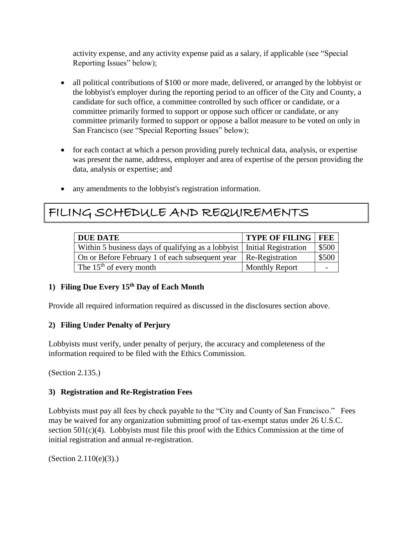activity expense, and any activity expense paid as a salary, if applicable (see "Special Reporting Issues" below);

- all political contributions of \$100 or more made, delivered, or arranged by the lobbyist or the lobbyist's employer during the reporting period to an officer of the City and County, a candidate for such office, a committee controlled by such officer or candidate, or a committee primarily formed to support or oppose such officer or candidate, or any committee primarily formed to support or oppose a ballot measure to be voted on only in San Francisco (see "Special Reporting Issues" below);
- for each contact at which a person providing purely technical data, analysis, or expertise was present the name, address, employer and area of expertise of the person providing the data, analysis or expertise; and
- any amendments to the lobbyist's registration information.

### <span id="page-11-0"></span>FILING SCHEDULE AND REQUIREMENTS

| <b>DUE DATE</b>                                                           | <b>TYPE OF FILING   FEE</b> |       |
|---------------------------------------------------------------------------|-----------------------------|-------|
| Within 5 business days of qualifying as a lobbyist   Initial Registration |                             | \$500 |
| On or Before February 1 of each subsequent year                           | Re-Registration             | \$500 |
| The $15th$ of every month                                                 | <b>Monthly Report</b>       |       |

### **1) Filing Due Every 15th Day of Each Month**

Provide all required information required as discussed in the disclosures section above.

### **2) Filing Under Penalty of Perjury**

Lobbyists must verify, under penalty of perjury, the accuracy and completeness of the information required to be filed with the Ethics Commission.

(Section 2.135.)

### **3) Registration and Re-Registration Fees**

Lobbyists must pay all fees by check payable to the "City and County of San Francisco." Fees may be waived for any organization submitting proof of tax-exempt status under 26 U.S.C. section  $501(c)(4)$ . Lobbyists must file this proof with the Ethics Commission at the time of initial registration and annual re-registration.

(Section 2.110(e)(3).)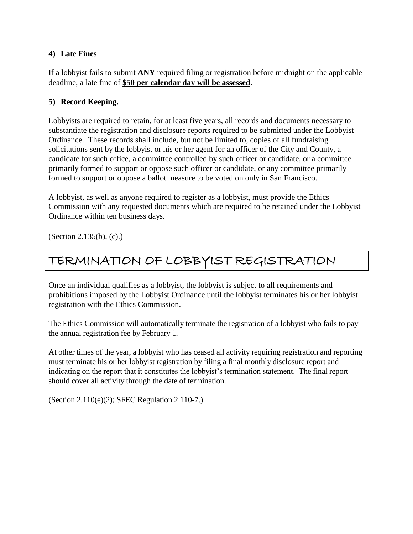### **4) Late Fines**

If a lobbyist fails to submit **ANY** required filing or registration before midnight on the applicable deadline, a late fine of **\$50 per calendar day will be assessed**.

### **5) Record Keeping.**

Lobbyists are required to retain, for at least five years, all records and documents necessary to substantiate the registration and disclosure reports required to be submitted under the Lobbyist Ordinance. These records shall include, but not be limited to, copies of all fundraising solicitations sent by the lobbyist or his or her agent for an officer of the City and County, a candidate for such office, a committee controlled by such officer or candidate, or a committee primarily formed to support or oppose such officer or candidate, or any committee primarily formed to support or oppose a ballot measure to be voted on only in San Francisco.

A lobbyist, as well as anyone required to register as a lobbyist, must provide the Ethics Commission with any requested documents which are required to be retained under the Lobbyist Ordinance within ten business days.

(Section 2.135(b), (c).)

### <span id="page-12-0"></span>TERMINATION OF LOBBYIST REGISTRATION

Once an individual qualifies as a lobbyist, the lobbyist is subject to all requirements and prohibitions imposed by the Lobbyist Ordinance until the lobbyist terminates his or her lobbyist registration with the Ethics Commission.

The Ethics Commission will automatically terminate the registration of a lobbyist who fails to pay the annual registration fee by February 1.

At other times of the year, a lobbyist who has ceased all activity requiring registration and reporting must terminate his or her lobbyist registration by filing a final monthly disclosure report and indicating on the report that it constitutes the lobbyist's termination statement. The final report should cover all activity through the date of termination.

(Section 2.110(e)(2); SFEC Regulation 2.110-7.)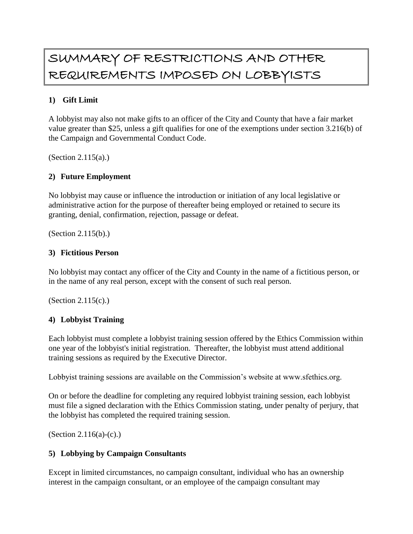## <span id="page-13-0"></span>SUMMARY OF RESTRICTIONS AND OTHER REQUIREMENTS IMPOSED ON LOBBYISTS

### **1) Gift Limit**

A lobbyist may also not make gifts to an officer of the City and County that have a fair market value greater than \$25, unless a gift qualifies for one of the exemptions under section 3.216(b) of the Campaign and Governmental Conduct Code.

(Section 2.115(a).)

### **2) Future Employment**

No lobbyist may cause or influence the introduction or initiation of any local legislative or administrative action for the purpose of thereafter being employed or retained to secure its granting, denial, confirmation, rejection, passage or defeat.

(Section 2.115(b).)

### **3) Fictitious Person**

No lobbyist may contact any officer of the City and County in the name of a fictitious person, or in the name of any real person, except with the consent of such real person.

(Section 2.115(c).)

### **4) Lobbyist Training**

Each lobbyist must complete a lobbyist training session offered by the Ethics Commission within one year of the lobbyist's initial registration. Thereafter, the lobbyist must attend additional training sessions as required by the Executive Director.

Lobbyist training sessions are available on the Commission's website at www.sfethics.org.

On or before the deadline for completing any required lobbyist training session, each lobbyist must file a signed declaration with the Ethics Commission stating, under penalty of perjury, that the lobbyist has completed the required training session.

(Section 2.116(a)-(c).)

### **5) Lobbying by Campaign Consultants**

Except in limited circumstances, no campaign consultant, individual who has an ownership interest in the campaign consultant, or an employee of the campaign consultant may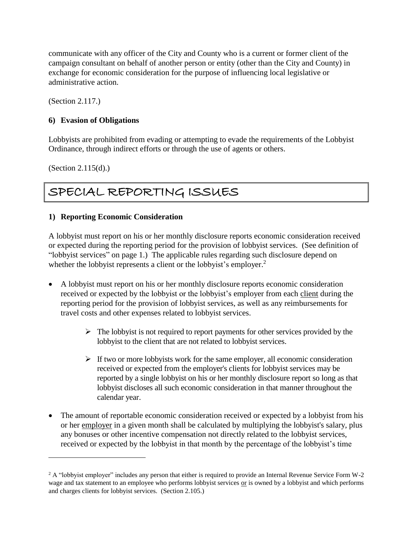communicate with any officer of the City and County who is a current or former client of the campaign consultant on behalf of another person or entity (other than the City and County) in exchange for economic consideration for the purpose of influencing local legislative or administrative action.

(Section 2.117.)

### **6) Evasion of Obligations**

Lobbyists are prohibited from evading or attempting to evade the requirements of the Lobbyist Ordinance, through indirect efforts or through the use of agents or others.

(Section 2.115(d).)

 $\overline{a}$ 

## <span id="page-14-0"></span>SPECIAL REPORTING ISSUES

### **1) Reporting Economic Consideration**

A lobbyist must report on his or her monthly disclosure reports economic consideration received or expected during the reporting period for the provision of lobbyist services. (See definition of "lobbyist services" on page 1.) The applicable rules regarding such disclosure depend on whether the lobbyist represents a client or the lobbyist's employer.<sup>2</sup>

- A lobbyist must report on his or her monthly disclosure reports economic consideration received or expected by the lobbyist or the lobbyist's employer from each client during the reporting period for the provision of lobbyist services, as well as any reimbursements for travel costs and other expenses related to lobbyist services.
	- $\triangleright$  The lobbyist is not required to report payments for other services provided by the lobbyist to the client that are not related to lobbyist services.
	- $\triangleright$  If two or more lobbyists work for the same employer, all economic consideration received or expected from the employer's clients for lobbyist services may be reported by a single lobbyist on his or her monthly disclosure report so long as that lobbyist discloses all such economic consideration in that manner throughout the calendar year.
- The amount of reportable economic consideration received or expected by a lobbyist from his or her employer in a given month shall be calculated by multiplying the lobbyist's salary, plus any bonuses or other incentive compensation not directly related to the lobbyist services, received or expected by the lobbyist in that month by the percentage of the lobbyist's time

 $2 \text{ A}$  "lobbyist employer" includes any person that either is required to provide an Internal Revenue Service Form W-2 wage and tax statement to an employee who performs lobbyist services or is owned by a lobbyist and which performs and charges clients for lobbyist services. (Section 2.105.)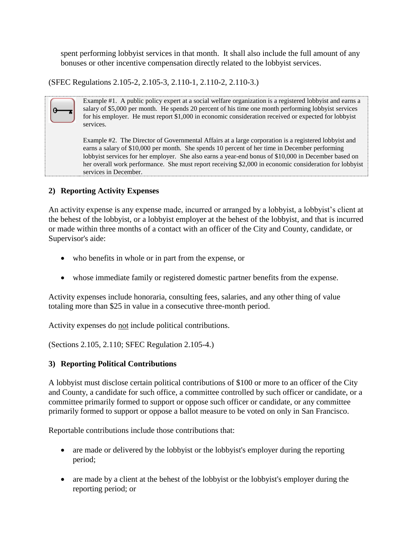spent performing lobbyist services in that month. It shall also include the full amount of any bonuses or other incentive compensation directly related to the lobbyist services.

(SFEC Regulations 2.105-2, 2.105-3, 2.110-1, 2.110-2, 2.110-3.)

Example #1. A public policy expert at a social welfare organization is a registered lobbyist and earns a salary of \$5,000 per month. He spends 20 percent of his time one month performing lobbyist services for his employer. He must report \$1,000 in economic consideration received or expected for lobbyist services. Example #2. The Director of Governmental Affairs at a large corporation is a registered lobbyist and

earns a salary of \$10,000 per month. She spends 10 percent of her time in December performing lobbyist services for her employer. She also earns a year-end bonus of \$10,000 in December based on her overall work performance. She must report receiving \$2,000 in economic consideration for lobbyist services in December.

### **2) Reporting Activity Expenses**

An activity expense is any expense made, incurred or arranged by a lobbyist, a lobbyist's client at the behest of the lobbyist, or a lobbyist employer at the behest of the lobbyist, and that is incurred or made within three months of a contact with an officer of the City and County, candidate, or Supervisor's aide:

- who benefits in whole or in part from the expense, or
- whose immediate family or registered domestic partner benefits from the expense.

Activity expenses include honoraria, consulting fees, salaries, and any other thing of value totaling more than \$25 in value in a consecutive three-month period.

Activity expenses do not include political contributions.

(Sections 2.105, 2.110; SFEC Regulation 2.105-4.)

### **3) Reporting Political Contributions**

A lobbyist must disclose certain political contributions of \$100 or more to an officer of the City and County, a candidate for such office, a committee controlled by such officer or candidate, or a committee primarily formed to support or oppose such officer or candidate, or any committee primarily formed to support or oppose a ballot measure to be voted on only in San Francisco.

Reportable contributions include those contributions that:

- are made or delivered by the lobbyist or the lobbyist's employer during the reporting period;
- are made by a client at the behest of the lobbyist or the lobbyist's employer during the reporting period; or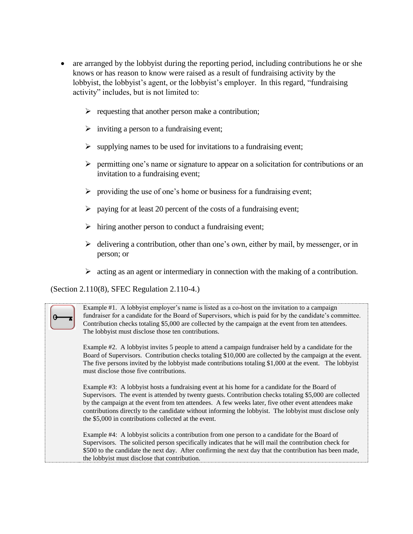- are arranged by the lobbyist during the reporting period, including contributions he or she knows or has reason to know were raised as a result of fundraising activity by the lobbyist, the lobbyist's agent, or the lobbyist's employer. In this regard, "fundraising activity" includes, but is not limited to:
	- $\triangleright$  requesting that another person make a contribution;
	- $\triangleright$  inviting a person to a fundraising event;
	- supplying names to be used for invitations to a fundraising event;
	- $\triangleright$  permitting one's name or signature to appear on a solicitation for contributions or an invitation to a fundraising event;
	- $\triangleright$  providing the use of one's home or business for a fundraising event;
	- $\triangleright$  paying for at least 20 percent of the costs of a fundraising event;
	- $\triangleright$  hiring another person to conduct a fundraising event;
	- $\triangleright$  delivering a contribution, other than one's own, either by mail, by messenger, or in person; or
	- $\triangleright$  acting as an agent or intermediary in connection with the making of a contribution.

(Section 2.110(8), SFEC Regulation 2.110-4.)

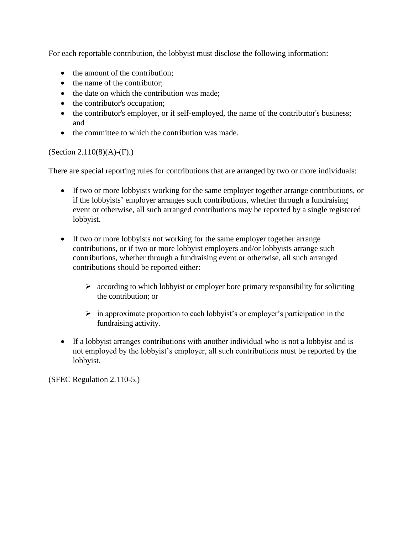For each reportable contribution, the lobbyist must disclose the following information:

- the amount of the contribution;
- the name of the contributor;
- the date on which the contribution was made;
- the contributor's occupation;
- the contributor's employer, or if self-employed, the name of the contributor's business; and
- the committee to which the contribution was made.

### $(Section 2.110(8)(A)-(F).)$

There are special reporting rules for contributions that are arranged by two or more individuals:

- If two or more lobbyists working for the same employer together arrange contributions, or if the lobbyists' employer arranges such contributions, whether through a fundraising event or otherwise, all such arranged contributions may be reported by a single registered lobbyist.
- If two or more lobbyists not working for the same employer together arrange contributions, or if two or more lobbyist employers and/or lobbyists arrange such contributions, whether through a fundraising event or otherwise, all such arranged contributions should be reported either:
	- $\triangleright$  according to which lobbyist or employer bore primary responsibility for soliciting the contribution; or
	- $\triangleright$  in approximate proportion to each lobbyist's or employer's participation in the fundraising activity.
- If a lobbyist arranges contributions with another individual who is not a lobbyist and is not employed by the lobbyist's employer, all such contributions must be reported by the lobbyist.

(SFEC Regulation 2.110-5.)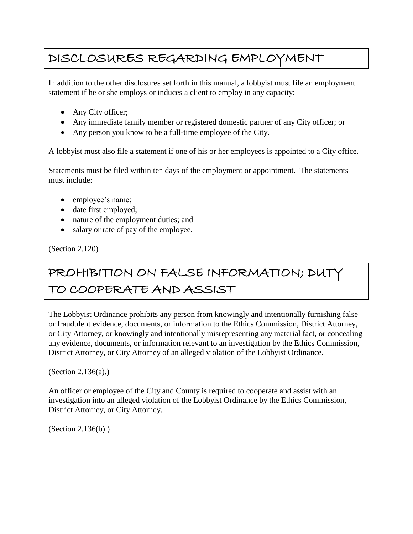## <span id="page-18-0"></span>DISCLOSURES REGARDING EMPLOYMENT

In addition to the other disclosures set forth in this manual, a lobbyist must file an employment statement if he or she employs or induces a client to employ in any capacity:

- Any City officer;
- Any immediate family member or registered domestic partner of any City officer; or
- Any person you know to be a full-time employee of the City.

A lobbyist must also file a statement if one of his or her employees is appointed to a City office.

Statements must be filed within ten days of the employment or appointment. The statements must include:

- employee's name;
- date first employed;
- nature of the employment duties; and
- salary or rate of pay of the employee.

(Section 2.120)

# <span id="page-18-1"></span>PROHIBITION ON FALSE INFORMATION; DUTY TO COOPERATE AND ASSIST

The Lobbyist Ordinance prohibits any person from knowingly and intentionally furnishing false or fraudulent evidence, documents, or information to the Ethics Commission, District Attorney, or City Attorney, or knowingly and intentionally misrepresenting any material fact, or concealing any evidence, documents, or information relevant to an investigation by the Ethics Commission, District Attorney, or City Attorney of an alleged violation of the Lobbyist Ordinance.

(Section 2.136(a).)

An officer or employee of the City and County is required to cooperate and assist with an investigation into an alleged violation of the Lobbyist Ordinance by the Ethics Commission, District Attorney, or City Attorney.

(Section 2.136(b).)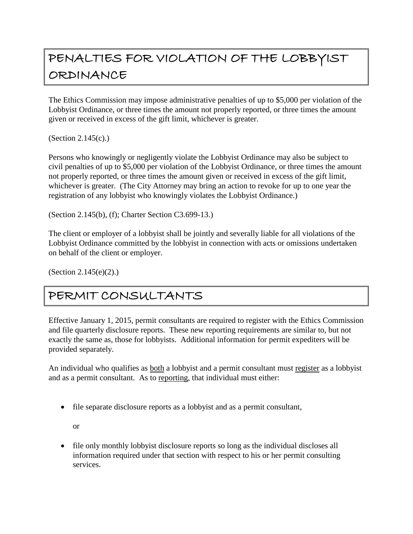# <span id="page-19-0"></span>PENALTIES FOR VIOLATION OF THE LOBBYIST ORDINANCE

The Ethics Commission may impose administrative penalties of up to \$5,000 per violation of the Lobbyist Ordinance, or three times the amount not properly reported, or three times the amount given or received in excess of the gift limit, whichever is greater.

(Section 2.145(c).)

Persons who knowingly or negligently violate the Lobbyist Ordinance may also be subject to civil penalties of up to \$5,000 per violation of the Lobbyist Ordinance, or three times the amount not properly reported, or three times the amount given or received in excess of the gift limit, whichever is greater. (The City Attorney may bring an action to revoke for up to one year the registration of any lobbyist who knowingly violates the Lobbyist Ordinance.)

(Section 2.145(b), (f); Charter Section C3.699-13.)

The client or employer of a lobbyist shall be jointly and severally liable for all violations of the Lobbyist Ordinance committed by the lobbyist in connection with acts or omissions undertaken on behalf of the client or employer.

(Section 2.145(e)(2).)

### <span id="page-19-1"></span>PERMIT CONSULTANTS

Effective January 1, 2015, permit consultants are required to register with the Ethics Commission and file quarterly disclosure reports. These new reporting requirements are similar to, but not exactly the same as, those for lobbyists. Additional information for permit expediters will be provided separately.

An individual who qualifies as both a lobbyist and a permit consultant must register as a lobbyist and as a permit consultant. As to reporting, that individual must either:

file separate disclosure reports as a lobbyist and as a permit consultant,

or

• file only monthly lobby is disclosure reports so long as the individual discloses all information required under that section with respect to his or her permit consulting services.